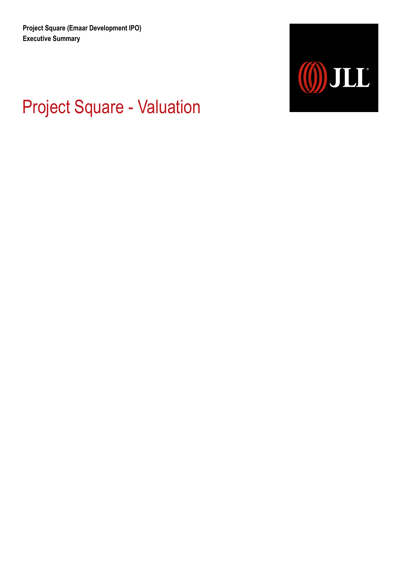

# Project Square - Valuation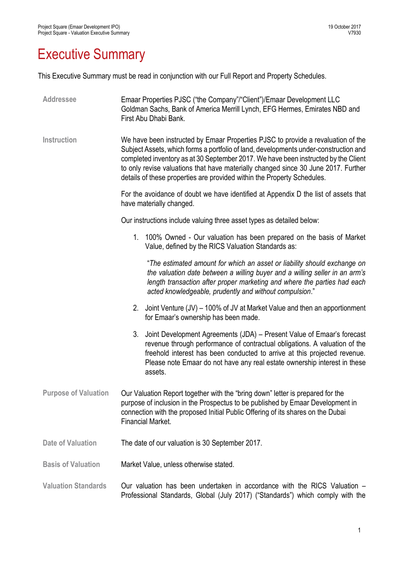### Executive Summary

This Executive Summary must be read in conjunction with our Full Report and Property Schedules.

| <b>Addressee</b>            | Emaar Properties PJSC ("the Company"/"Client")/Emaar Development LLC<br>Goldman Sachs, Bank of America Merrill Lynch, EFG Hermes, Emirates NBD and<br>First Abu Dhabi Bank.                                                                                                                                                                                                                                                     |
|-----------------------------|---------------------------------------------------------------------------------------------------------------------------------------------------------------------------------------------------------------------------------------------------------------------------------------------------------------------------------------------------------------------------------------------------------------------------------|
| <b>Instruction</b>          | We have been instructed by Emaar Properties PJSC to provide a revaluation of the<br>Subject Assets, which forms a portfolio of land, developments under-construction and<br>completed inventory as at 30 September 2017. We have been instructed by the Client<br>to only revise valuations that have materially changed since 30 June 2017. Further<br>details of these properties are provided within the Property Schedules. |
|                             | For the avoidance of doubt we have identified at Appendix D the list of assets that<br>have materially changed.                                                                                                                                                                                                                                                                                                                 |
|                             | Our instructions include valuing three asset types as detailed below:                                                                                                                                                                                                                                                                                                                                                           |
|                             | 1. 100% Owned - Our valuation has been prepared on the basis of Market<br>Value, defined by the RICS Valuation Standards as:                                                                                                                                                                                                                                                                                                    |
|                             | "The estimated amount for which an asset or liability should exchange on<br>the valuation date between a willing buyer and a willing seller in an arm's<br>length transaction after proper marketing and where the parties had each<br>acted knowledgeable, prudently and without compulsion."                                                                                                                                  |
|                             | Joint Venture (JV) – 100% of JV at Market Value and then an apportionment<br>2.<br>for Emaar's ownership has been made.                                                                                                                                                                                                                                                                                                         |
|                             | 3. Joint Development Agreements (JDA) - Present Value of Emaar's forecast<br>revenue through performance of contractual obligations. A valuation of the<br>freehold interest has been conducted to arrive at this projected revenue.<br>Please note Emaar do not have any real estate ownership interest in these<br>assets.                                                                                                    |
| <b>Purpose of Valuation</b> | Our Valuation Report together with the "bring down" letter is prepared for the<br>purpose of inclusion in the Prospectus to be published by Emaar Development in<br>connection with the proposed Initial Public Offering of its shares on the Dubai<br><b>Financial Market</b>                                                                                                                                                  |
| <b>Date of Valuation</b>    | The date of our valuation is 30 September 2017.                                                                                                                                                                                                                                                                                                                                                                                 |
| <b>Basis of Valuation</b>   | Market Value, unless otherwise stated.                                                                                                                                                                                                                                                                                                                                                                                          |
| <b>Valuation Standards</b>  | Our valuation has been undertaken in accordance with the RICS Valuation –<br>Professional Standards, Global (July 2017) ("Standards") which comply with the                                                                                                                                                                                                                                                                     |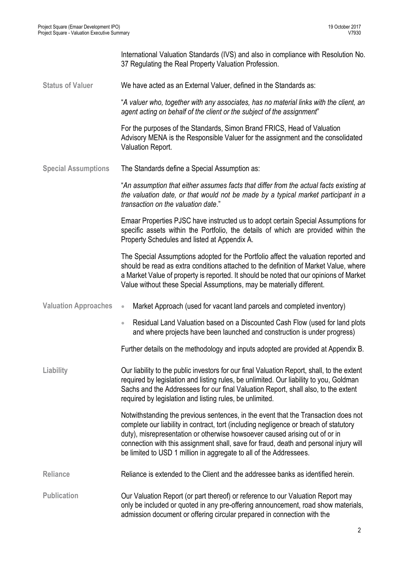International Valuation Standards (IVS) and also in compliance with Resolution No. 37 Regulating the Real Property Valuation Profession.

**Status of Valuer** We have acted as an External Valuer, defined in the Standards as:

"*A valuer who, together with any associates, has no material links with the client, an agent acting on behalf of the client or the subject of the assignment*"

For the purposes of the Standards, Simon Brand FRICS, Head of Valuation Advisory MENA is the Responsible Valuer for the assignment and the consolidated Valuation Report.

**Special Assumptions** The Standards define a Special Assumption as:

"*An assumption that either assumes facts that differ from the actual facts existing at the valuation date, or that would not be made by a typical market participant in a transaction on the valuation date*."

Emaar Properties PJSC have instructed us to adopt certain Special Assumptions for specific assets within the Portfolio, the details of which are provided within the Property Schedules and listed at Appendix A.

The Special Assumptions adopted for the Portfolio affect the valuation reported and should be read as extra conditions attached to the definition of Market Value, where a Market Value of property is reported. It should be noted that our opinions of Market Value without these Special Assumptions, may be materially different.

- **Valuation Approaches** Market Approach (used for vacant land parcels and completed inventory)
	- Residual Land Valuation based on a Discounted Cash Flow (used for land plots and where projects have been launched and construction is under progress)

Further details on the methodology and inputs adopted are provided at Appendix B.

**Liability** Our liability to the public investors for our final Valuation Report, shall, to the extent required by legislation and listing rules, be unlimited. Our liability to you, Goldman Sachs and the Addressees for our final Valuation Report, shall also, to the extent required by legislation and listing rules, be unlimited.

> Notwithstanding the previous sentences, in the event that the Transaction does not complete our liability in contract, tort (including negligence or breach of statutory duty), misrepresentation or otherwise howsoever caused arising out of or in connection with this assignment shall, save for fraud, death and personal injury will be limited to USD 1 million in aggregate to all of the Addressees.

- **Reliance** Reliance is extended to the Client and the addressee banks as identified herein.
- Publication **Publication** Our Valuation Report (or part thereof) or reference to our Valuation Report may only be included or quoted in any pre-offering announcement, road show materials, admission document or offering circular prepared in connection with the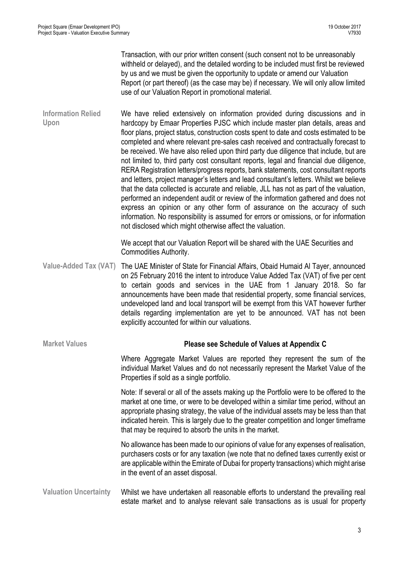Transaction, with our prior written consent (such consent not to be unreasonably withheld or delayed), and the detailed wording to be included must first be reviewed by us and we must be given the opportunity to update or amend our Valuation Report (or part thereof) (as the case may be) if necessary. We will only allow limited use of our Valuation Report in promotional material.

**Information Relied Upon** We have relied extensively on information provided during discussions and in hardcopy by Emaar Properties PJSC which include master plan details, areas and floor plans, project status, construction costs spent to date and costs estimated to be completed and where relevant pre-sales cash received and contractually forecast to be received. We have also relied upon third party due diligence that include, but are not limited to, third party cost consultant reports, legal and financial due diligence, RERA Registration letters/progress reports, bank statements, cost consultant reports and letters, project manager's letters and lead consultant's letters. Whilst we believe that the data collected is accurate and reliable, JLL has not as part of the valuation, performed an independent audit or review of the information gathered and does not express an opinion or any other form of assurance on the accuracy of such information. No responsibility is assumed for errors or omissions, or for information not disclosed which might otherwise affect the valuation.

> We accept that our Valuation Report will be shared with the UAE Securities and Commodities Authority.

- **Value-Added Tax (VAT)** The UAE Minister of State for Financial Affairs, Obaid Humaid Al Tayer, announced on 25 February 2016 the intent to introduce Value Added Tax (VAT) of five per cent to certain goods and services in the UAE from 1 January 2018. So far announcements have been made that residential property, some financial services, undeveloped land and local transport will be exempt from this VAT however further details regarding implementation are yet to be announced. VAT has not been explicitly accounted for within our valuations.
- **Market Values Please see Schedule of Values at Appendix C** Where Aggregate Market Values are reported they represent the sum of the individual Market Values and do not necessarily represent the Market Value of the Properties if sold as a single portfolio. Note: If several or all of the assets making up the Portfolio were to be offered to the market at one time, or were to be developed within a similar time period, without an appropriate phasing strategy, the value of the individual assets may be less than that indicated herein. This is largely due to the greater competition and longer timeframe that may be required to absorb the units in the market. No allowance has been made to our opinions of value for any expenses of realisation, purchasers costs or for any taxation (we note that no defined taxes currently exist or are applicable within the Emirate of Dubai for property transactions) which might arise in the event of an asset disposal. **Valuation Uncertainty** Whilst we have undertaken all reasonable efforts to understand the prevailing real

estate market and to analyse relevant sale transactions as is usual for property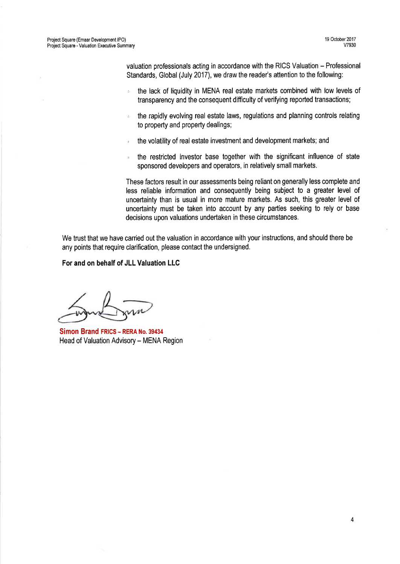valuation professionals acting in accordance with the RICS Valuation - Professional Standards, Global (July 2017), we draw the reader's attention to the following:

- the lack of liquidity in MENA real estate markets combined with low levels of b) transparency and the consequent difficulty of verifying reported transactions;
- the rapidly evolving real estate laws, regulations and planning controls relating  $\mathcal{A}$ to property and property dealings;
- the volatility of real estate investment and development markets; and
- the restricted investor base together with the significant influence of state sponsored developers and operators, in relatively small markets.

These factors result in our assessments being reliant on generally less complete and less reliable information and consequently being subject to a greater level of uncertainty than is usual in more mature markets. As such, this greater level of uncertainty must be taken into account by any parties seeking to rely or base decisions upon valuations undertaken in these circumstances.

We trust that we have carried out the valuation in accordance with your instructions, and should there be any points that require clarification, please contact the undersigned.

For and on behalf of JLL Valuation LLC

Simon Brand FRICS - RERA No. 39434 Head of Valuation Advisory - MENA Region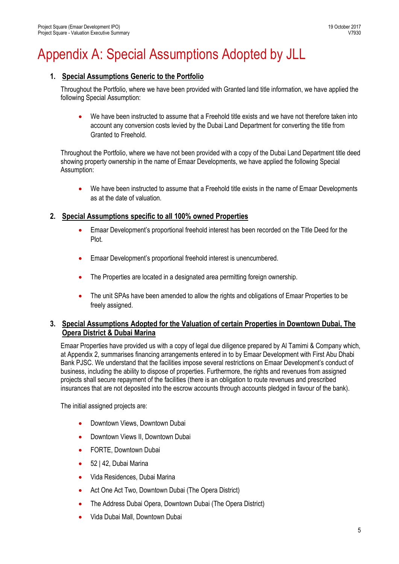### Appendix A: Special Assumptions Adopted by JLL

#### **1. Special Assumptions Generic to the Portfolio**

Throughout the Portfolio, where we have been provided with Granted land title information, we have applied the following Special Assumption:

 We have been instructed to assume that a Freehold title exists and we have not therefore taken into account any conversion costs levied by the Dubai Land Department for converting the title from Granted to Freehold.

Throughout the Portfolio, where we have not been provided with a copy of the Dubai Land Department title deed showing property ownership in the name of Emaar Developments, we have applied the following Special Assumption:

We have been instructed to assume that a Freehold title exists in the name of Emaar Developments as at the date of valuation.

#### **2. Special Assumptions specific to all 100% owned Properties**

- Emaar Development's proportional freehold interest has been recorded on the Title Deed for the Plot.
- Emaar Development's proportional freehold interest is unencumbered.
- The Properties are located in a designated area permitting foreign ownership.
- The unit SPAs have been amended to allow the rights and obligations of Emaar Properties to be freely assigned.

#### **3. Special Assumptions Adopted for the Valuation of certain Properties in Downtown Dubai, The Opera District & Dubai Marina**

Emaar Properties have provided us with a copy of legal due diligence prepared by Al Tamimi & Company which, at Appendix 2, summarises financing arrangements entered in to by Emaar Development with First Abu Dhabi Bank PJSC. We understand that the facilities impose several restrictions on Emaar Development's conduct of business, including the ability to dispose of properties. Furthermore, the rights and revenues from assigned projects shall secure repayment of the facilities (there is an obligation to route revenues and prescribed insurances that are not deposited into the escrow accounts through accounts pledged in favour of the bank).

The initial assigned projects are:

- Downtown Views, Downtown Dubai
- Downtown Views II, Downtown Dubai
- FORTE, Downtown Dubai
- 52 | 42, Dubai Marina
- Vida Residences, Dubai Marina
- Act One Act Two, Downtown Dubai (The Opera District)
- The Address Dubai Opera, Downtown Dubai (The Opera District)
- Vida Dubai Mall, Downtown Dubai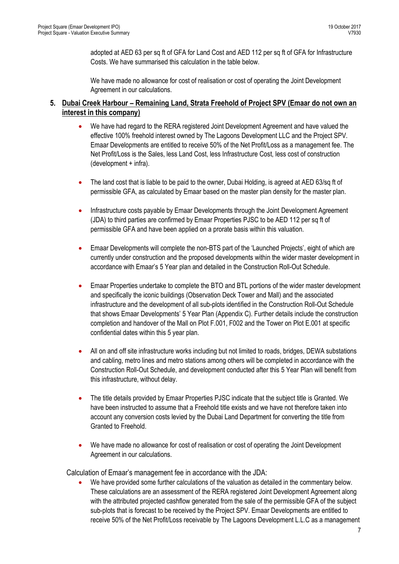adopted at AED 63 per sq ft of GFA for Land Cost and AED 112 per sq ft of GFA for Infrastructure Costs. We have summarised this calculation in the table below.

We have made no allowance for cost of realisation or cost of operating the Joint Development Agreement in our calculations.

#### **5. Dubai Creek Harbour – Remaining Land, Strata Freehold of Project SPV (Emaar do not own an interest in this company)**

- We have had regard to the RERA registered Joint Development Agreement and have valued the effective 100% freehold interest owned by The Lagoons Development LLC and the Project SPV. Emaar Developments are entitled to receive 50% of the Net Profit/Loss as a management fee. The Net Profit/Loss is the Sales, less Land Cost, less Infrastructure Cost, less cost of construction (development + infra).
- The land cost that is liable to be paid to the owner, Dubai Holding, is agreed at AED 63/sq ft of permissible GFA, as calculated by Emaar based on the master plan density for the master plan.
- Infrastructure costs payable by Emaar Developments through the Joint Development Agreement (JDA) to third parties are confirmed by Emaar Properties PJSC to be AED 112 per sq ft of permissible GFA and have been applied on a prorate basis within this valuation.
- Emaar Developments will complete the non-BTS part of the 'Launched Projects', eight of which are currently under construction and the proposed developments within the wider master development in accordance with Emaar's 5 Year plan and detailed in the Construction Roll-Out Schedule.
- Emaar Properties undertake to complete the BTO and BTL portions of the wider master development and specifically the iconic buildings (Observation Deck Tower and Mall) and the associated infrastructure and the development of all sub-plots identified in the Construction Roll-Out Schedule that shows Emaar Developments' 5 Year Plan (Appendix C). Further details include the construction completion and handover of the Mall on Plot F.001, F002 and the Tower on Plot E.001 at specific confidential dates within this 5 year plan.
- All on and off site infrastructure works including but not limited to roads, bridges, DEWA substations and cabling, metro lines and metro stations among others will be completed in accordance with the Construction Roll-Out Schedule, and development conducted after this 5 Year Plan will benefit from this infrastructure, without delay.
- The title details provided by Emaar Properties PJSC indicate that the subject title is Granted. We have been instructed to assume that a Freehold title exists and we have not therefore taken into account any conversion costs levied by the Dubai Land Department for converting the title from Granted to Freehold.
- We have made no allowance for cost of realisation or cost of operating the Joint Development Agreement in our calculations.

Calculation of Emaar's management fee in accordance with the JDA:

 We have provided some further calculations of the valuation as detailed in the commentary below. These calculations are an assessment of the RERA registered Joint Development Agreement along with the attributed projected cashflow generated from the sale of the permissible GFA of the subject sub-plots that is forecast to be received by the Project SPV. Emaar Developments are entitled to receive 50% of the Net Profit/Loss receivable by The Lagoons Development L.L.C as a management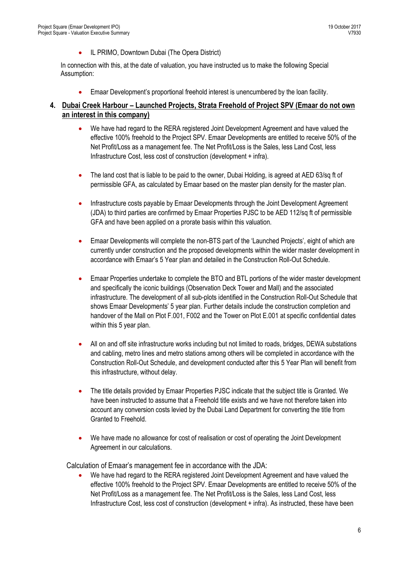IL PRIMO, Downtown Dubai (The Opera District)

In connection with this, at the date of valuation, you have instructed us to make the following Special Assumption:

Emaar Development's proportional freehold interest is unencumbered by the loan facility.

#### **4. Dubai Creek Harbour – Launched Projects, Strata Freehold of Project SPV (Emaar do not own an interest in this company)**

- We have had regard to the RERA registered Joint Development Agreement and have valued the effective 100% freehold to the Project SPV. Emaar Developments are entitled to receive 50% of the Net Profit/Loss as a management fee. The Net Profit/Loss is the Sales, less Land Cost, less Infrastructure Cost, less cost of construction (development + infra).
- The land cost that is liable to be paid to the owner, Dubai Holding, is agreed at AED 63/sq ft of permissible GFA, as calculated by Emaar based on the master plan density for the master plan.
- Infrastructure costs payable by Emaar Developments through the Joint Development Agreement (JDA) to third parties are confirmed by Emaar Properties PJSC to be AED 112/sq ft of permissible GFA and have been applied on a prorate basis within this valuation.
- Emaar Developments will complete the non-BTS part of the 'Launched Projects', eight of which are currently under construction and the proposed developments within the wider master development in accordance with Emaar's 5 Year plan and detailed in the Construction Roll-Out Schedule.
- Emaar Properties undertake to complete the BTO and BTL portions of the wider master development and specifically the iconic buildings (Observation Deck Tower and Mall) and the associated infrastructure. The development of all sub-plots identified in the Construction Roll-Out Schedule that shows Emaar Developments' 5 year plan. Further details include the construction completion and handover of the Mall on Plot F.001, F002 and the Tower on Plot E.001 at specific confidential dates within this 5 year plan.
- All on and off site infrastructure works including but not limited to roads, bridges, DEWA substations and cabling, metro lines and metro stations among others will be completed in accordance with the Construction Roll-Out Schedule, and development conducted after this 5 Year Plan will benefit from this infrastructure, without delay.
- The title details provided by Emaar Properties PJSC indicate that the subject title is Granted. We have been instructed to assume that a Freehold title exists and we have not therefore taken into account any conversion costs levied by the Dubai Land Department for converting the title from Granted to Freehold.
- We have made no allowance for cost of realisation or cost of operating the Joint Development Agreement in our calculations.

Calculation of Emaar's management fee in accordance with the JDA:

 We have had regard to the RERA registered Joint Development Agreement and have valued the effective 100% freehold to the Project SPV. Emaar Developments are entitled to receive 50% of the Net Profit/Loss as a management fee. The Net Profit/Loss is the Sales, less Land Cost, less Infrastructure Cost, less cost of construction (development + infra). As instructed, these have been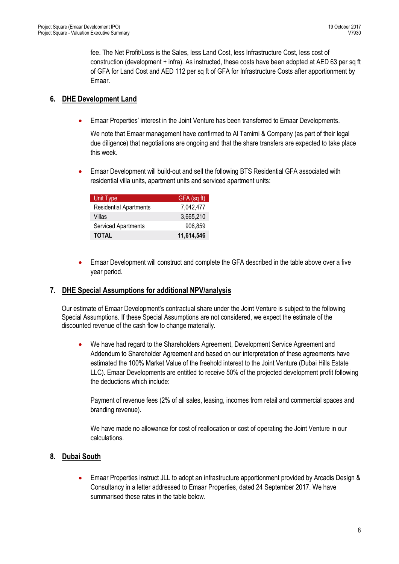fee. The Net Profit/Loss is the Sales, less Land Cost, less Infrastructure Cost, less cost of construction (development + infra). As instructed, these costs have been adopted at AED 63 per sq ft of GFA for Land Cost and AED 112 per sq ft of GFA for Infrastructure Costs after apportionment by Emaar.

#### **6. DHE Development Land**

Emaar Properties' interest in the Joint Venture has been transferred to Emaar Developments.

We note that Emaar management have confirmed to Al Tamimi & Company (as part of their legal due diligence) that negotiations are ongoing and that the share transfers are expected to take place this week.

 Emaar Development will build-out and sell the following BTS Residential GFA associated with residential villa units, apartment units and serviced apartment units:

| <b>Unit Type</b>              | GFA (sq ft) |
|-------------------------------|-------------|
| <b>Residential Apartments</b> | 7,042,477   |
| Villas                        | 3,665,210   |
| Serviced Apartments           | 906,859     |
| <b>TOTAL</b>                  | 11,614,546  |

 Emaar Development will construct and complete the GFA described in the table above over a five year period.

#### **7. DHE Special Assumptions for additional NPV/analysis**

Our estimate of Emaar Development's contractual share under the Joint Venture is subject to the following Special Assumptions. If these Special Assumptions are not considered, we expect the estimate of the discounted revenue of the cash flow to change materially.

We have had regard to the Shareholders Agreement, Development Service Agreement and Addendum to Shareholder Agreement and based on our interpretation of these agreements have estimated the 100% Market Value of the freehold interest to the Joint Venture (Dubai Hills Estate LLC). Emaar Developments are entitled to receive 50% of the projected development profit following the deductions which include:

Payment of revenue fees (2% of all sales, leasing, incomes from retail and commercial spaces and branding revenue).

We have made no allowance for cost of reallocation or cost of operating the Joint Venture in our calculations.

#### **8. Dubai South**

 Emaar Properties instruct JLL to adopt an infrastructure apportionment provided by Arcadis Design & Consultancy in a letter addressed to Emaar Properties, dated 24 September 2017. We have summarised these rates in the table below.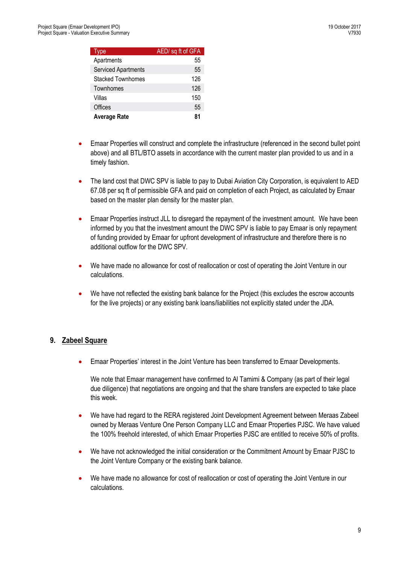| Type                       | AED/ sq ft of GFA |
|----------------------------|-------------------|
| Apartments                 | 55                |
| <b>Serviced Apartments</b> | 55                |
| Stacked Townhomes          | 126               |
| Townhomes                  | 126               |
| Villas                     | 150               |
| Offices                    | 55                |
| <b>Average Rate</b>        | 81                |

- Emaar Properties will construct and complete the infrastructure (referenced in the second bullet point above) and all BTL/BTO assets in accordance with the current master plan provided to us and in a timely fashion.
- The land cost that DWC SPV is liable to pay to Dubai Aviation City Corporation, is equivalent to AED 67.08 per sq ft of permissible GFA and paid on completion of each Project, as calculated by Emaar based on the master plan density for the master plan.
- Emaar Properties instruct JLL to disregard the repayment of the investment amount. We have been informed by you that the investment amount the DWC SPV is liable to pay Emaar is only repayment of funding provided by Emaar for upfront development of infrastructure and therefore there is no additional outflow for the DWC SPV.
- We have made no allowance for cost of reallocation or cost of operating the Joint Venture in our calculations.
- We have not reflected the existing bank balance for the Project (this excludes the escrow accounts for the live projects) or any existing bank loans/liabilities not explicitly stated under the JDA.

#### **9. Zabeel Square**

Emaar Properties' interest in the Joint Venture has been transferred to Emaar Developments.

We note that Emaar management have confirmed to Al Tamimi & Company (as part of their legal due diligence) that negotiations are ongoing and that the share transfers are expected to take place this week.

- We have had regard to the RERA registered Joint Development Agreement between Meraas Zabeel owned by Meraas Venture One Person Company LLC and Emaar Properties PJSC. We have valued the 100% freehold interested, of which Emaar Properties PJSC are entitled to receive 50% of profits.
- We have not acknowledged the initial consideration or the Commitment Amount by Emaar PJSC to the Joint Venture Company or the existing bank balance.
- We have made no allowance for cost of reallocation or cost of operating the Joint Venture in our calculations.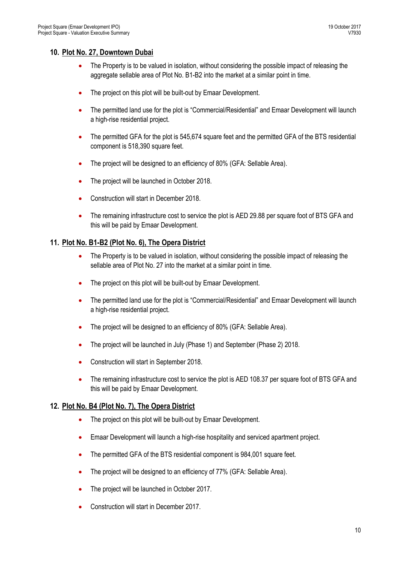#### **10. Plot No. 27, Downtown Dubai**

- The Property is to be valued in isolation, without considering the possible impact of releasing the aggregate sellable area of Plot No. B1-B2 into the market at a similar point in time.
- The project on this plot will be built-out by Emaar Development.
- The permitted land use for the plot is "Commercial/Residential" and Emaar Development will launch a high-rise residential project.
- The permitted GFA for the plot is 545,674 square feet and the permitted GFA of the BTS residential component is 518,390 square feet.
- The project will be designed to an efficiency of 80% (GFA: Sellable Area).
- The project will be launched in October 2018.
- Construction will start in December 2018.
- The remaining infrastructure cost to service the plot is AED 29.88 per square foot of BTS GFA and this will be paid by Emaar Development.

#### **11. Plot No. B1-B2 (Plot No. 6), The Opera District**

- The Property is to be valued in isolation, without considering the possible impact of releasing the sellable area of Plot No. 27 into the market at a similar point in time.
- The project on this plot will be built-out by Emaar Development.
- The permitted land use for the plot is "Commercial/Residential" and Emaar Development will launch a high-rise residential project.
- The project will be designed to an efficiency of 80% (GFA: Sellable Area).
- The project will be launched in July (Phase 1) and September (Phase 2) 2018.
- Construction will start in September 2018.
- The remaining infrastructure cost to service the plot is AED 108.37 per square foot of BTS GFA and this will be paid by Emaar Development.

#### **12. Plot No. B4 (Plot No. 7), The Opera District**

- The project on this plot will be built-out by Emaar Development.
- Emaar Development will launch a high-rise hospitality and serviced apartment project.
- The permitted GFA of the BTS residential component is 984,001 square feet.
- The project will be designed to an efficiency of 77% (GFA: Sellable Area).
- The project will be launched in October 2017.
- Construction will start in December 2017.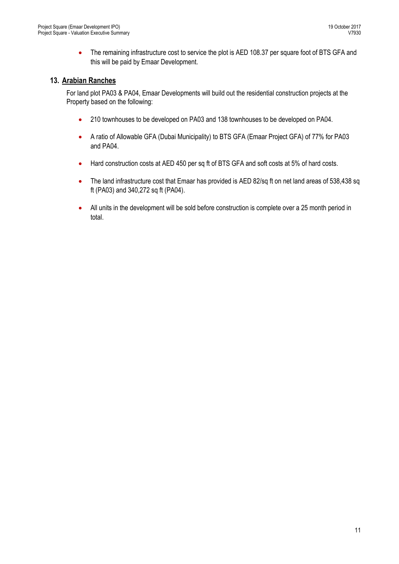• The remaining infrastructure cost to service the plot is AED 108.37 per square foot of BTS GFA and this will be paid by Emaar Development.

#### **13. Arabian Ranches**

For land plot PA03 & PA04, Emaar Developments will build out the residential construction projects at the Property based on the following:

- 210 townhouses to be developed on PA03 and 138 townhouses to be developed on PA04.
- A ratio of Allowable GFA (Dubai Municipality) to BTS GFA (Emaar Project GFA) of 77% for PA03 and PA04.
- Hard construction costs at AED 450 per sq ft of BTS GFA and soft costs at 5% of hard costs.
- The land infrastructure cost that Emaar has provided is AED 82/sq ft on net land areas of 538,438 sq ft (PA03) and 340,272 sq ft (PA04).
- All units in the development will be sold before construction is complete over a 25 month period in total.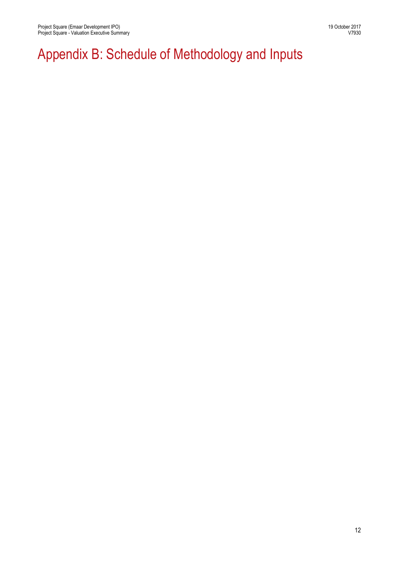## Appendix B: Schedule of Methodology and Inputs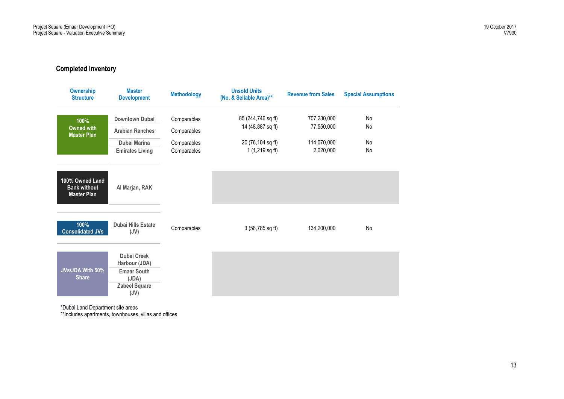#### **Completed Inventory**

| <b>Ownership</b><br><b>Structure</b>                         | <b>Master</b><br><b>Development</b>                                                                | <b>Methodology</b> | <b>Unsold Units</b><br>(No. & Sellable Area)** | <b>Revenue from Sales</b> | <b>Special Assumptions</b> |
|--------------------------------------------------------------|----------------------------------------------------------------------------------------------------|--------------------|------------------------------------------------|---------------------------|----------------------------|
| 100%                                                         | Downtown Dubai                                                                                     | Comparables        | 85 (244,746 sq ft)                             | 707,230,000               | No                         |
| <b>Owned with</b><br><b>Master Plan</b>                      | <b>Arabian Ranches</b>                                                                             | Comparables        | 14 (48,887 sq ft)                              | 77,550,000                | No                         |
|                                                              | Dubai Marina                                                                                       | Comparables        | 20 (76,104 sq ft)                              | 114,070,000               | No                         |
|                                                              | <b>Emirates Living</b>                                                                             | Comparables        | 1 (1,219 sq ft)                                | 2,020,000                 | No                         |
| 100% Owned Land<br><b>Bank without</b><br><b>Master Plan</b> | Al Marjan, RAK                                                                                     |                    |                                                |                           |                            |
| 100%<br><b>Consolidated JVs</b>                              | <b>Dubai Hills Estate</b><br>(JV)                                                                  | Comparables        | 3 (58,785 sq ft)                               | 134,200,000               | <b>No</b>                  |
| <b>JVs/JDA With 50%</b><br><b>Share</b>                      | <b>Dubai Creek</b><br>Harbour (JDA)<br><b>Emaar South</b><br>(JDA)<br><b>Zabeel Square</b><br>(JV) |                    |                                                |                           |                            |

\*Dubai Land Department site areas

\*\*Includes apartments, townhouses, villas and offices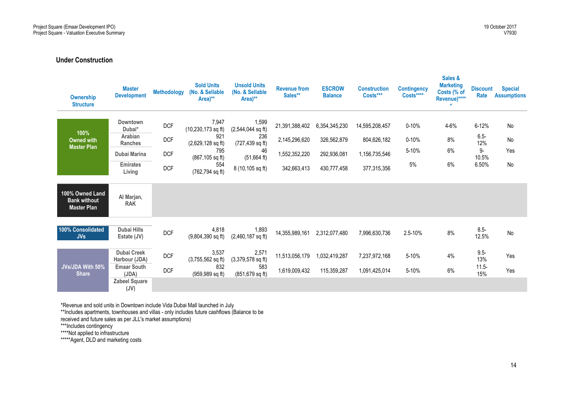#### **Under Construction**

| <b>Ownership</b><br><b>Structure</b>                         | <b>Master</b><br><b>Development</b> | <b>Methodology</b> | <b>Sold Units</b><br>(No. & Sellable<br>Area)** | <b>Unsold Units</b><br>(No. & Sellable<br>Area)** | <b>Revenue from</b><br>Sales** | <b>ESCROW</b><br><b>Balance</b> | <b>Construction</b><br>Costs*** | <b>Contingency</b><br>Costs**** | Sales &<br><b>Marketing</b><br>Costs (% of<br>Revenue)**** | <b>Discount</b><br>Rate | <b>Special</b><br><b>Assumptions</b> |
|--------------------------------------------------------------|-------------------------------------|--------------------|-------------------------------------------------|---------------------------------------------------|--------------------------------|---------------------------------|---------------------------------|---------------------------------|------------------------------------------------------------|-------------------------|--------------------------------------|
| 100%                                                         | Downtown<br>Dubai*                  | <b>DCF</b>         | 7,947<br>$(10, 230, 173$ sq ft)                 | 1,599<br>$(2,544,044$ sq ft)                      | 21,391,388,402                 | 6,354,345,230                   | 14,595,208,457                  | $0 - 10%$                       | 4-6%                                                       | $6 - 12%$               | No                                   |
| <b>Owned with</b>                                            | Arabian<br><b>Ranches</b>           | <b>DCF</b>         | 921<br>$(2,629,128$ sq ft)                      | 236<br>$(727, 439 \text{ sq ft})$                 | 2,145,296,620                  | 326,562,879                     | 804,626,182                     | $0 - 10%$                       | 8%                                                         | $6.5 -$<br>12%          | No                                   |
| <b>Master Plan</b>                                           | Dubai Marina                        | <b>DCF</b>         | 795<br>$(867, 105$ sq ft)                       | 46<br>$(51,664 \text{ ft})$                       | 1,552,352,220                  | 292,936,081                     | 1,156,735,546                   | 5-10%                           | 6%                                                         | $9-$<br>10.5%           | Yes                                  |
|                                                              | <b>Emirates</b><br>Living           | <b>DCF</b>         | 554<br>(762,794 sq ft)                          | 8 (10,105 sq ft)                                  | 342,663,413                    | 430,777,458                     | 377,315,356                     | 5%                              | 6%                                                         | 6.50%                   | No                                   |
| 100% Owned Land<br><b>Bank without</b><br><b>Master Plan</b> | Al Marjan,<br><b>RAK</b>            |                    |                                                 |                                                   |                                |                                 |                                 |                                 |                                                            |                         |                                      |
| 100% Consolidated<br>JVs                                     | Dubai Hills<br>Estate (JV)          | <b>DCF</b>         | 4,818<br>$(9,804,390$ sq ft)                    | 1,893<br>$(2,460,187$ sq ft)                      | 14,355,989,161                 | 2,312,077,480                   | 7,996,630,736                   | 2.5-10%                         | 8%                                                         | $8.5 -$<br>12.5%        | No                                   |
|                                                              | <b>Dubai Creek</b><br>Harbour (JDA) | <b>DCF</b>         | 3,537<br>$(3,755,562$ sq ft)                    | 2,571<br>$(3,379,578$ sq ft)                      | 11,513,056,179                 | 1,032,419,287                   | 7,237,972,168                   | 5-10%                           | 4%                                                         | $9.5 -$<br>13%          | Yes                                  |
| JVs/JDA With 50%<br><b>Share</b>                             | <b>Emaar South</b><br>(JDA)         | <b>DCF</b>         | 832<br>$(959, 989$ sq ft)                       | 583<br>$(851, 679$ sq ft)                         | 1,619,009,432                  | 115,359,287                     | 1,091,425,014                   | 5-10%                           | 6%                                                         | $11.5 -$<br>15%         | Yes                                  |
|                                                              | <b>Zabeel Square</b><br>(JV)        |                    |                                                 |                                                   |                                |                                 |                                 |                                 |                                                            |                         |                                      |

\*Revenue and sold units in Downtown include Vida Dubai Mall launched in July

\*\*Includes apartments, townhouses and villas - only includes future cashflows (Balance to be

received and future sales as per JLL's market assumptions)

\*\*\*Includes contingency

\*\*\*\*Not applied to infrastructure

\*\*\*\*\*Agent, DLD and marketing costs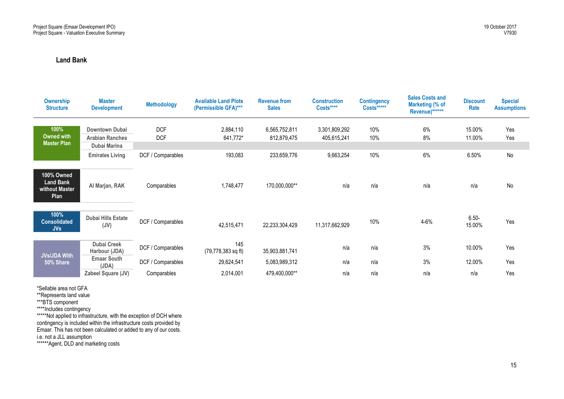#### **Land Bank**

| <b>Ownership</b><br><b>Structure</b>                            | <b>Master</b><br><b>Development</b>             | <b>Methodology</b>       | <b>Available Land Plots</b><br>(Permissible GFA)*** | <b>Revenue from</b><br><b>Sales</b> | <b>Construction</b><br>Costs**** | <b>Contingency</b><br>Costs***** | <b>Sales Costs and</b><br>Marketing (% of<br>Revenue)****** | <b>Discount</b><br>Rate | <b>Special</b><br><b>Assumptions</b> |
|-----------------------------------------------------------------|-------------------------------------------------|--------------------------|-----------------------------------------------------|-------------------------------------|----------------------------------|----------------------------------|-------------------------------------------------------------|-------------------------|--------------------------------------|
| 100%<br>Owned with                                              | <b>Downtown Dubai</b><br><b>Arabian Ranches</b> | <b>DCF</b><br><b>DCF</b> | 2,884,110<br>641,772*                               | 6,565,752,811<br>812,879,475        | 3,301,809,292<br>405,615,241     | 10%<br>10%                       | 6%<br>8%                                                    | 15.00%<br>11.00%        | Yes<br>Yes                           |
| <b>Master Plan</b>                                              | Dubai Marina                                    |                          |                                                     |                                     |                                  |                                  |                                                             |                         |                                      |
|                                                                 | <b>Emirates Living</b>                          | DCF / Comparables        | 193,083                                             | 233,659,776                         | 9,663,254                        | 10%                              | 6%                                                          | 6.50%                   | No                                   |
| 100% Owned<br><b>Land Bank</b><br>without Master<br><b>Plan</b> | Al Marjan, RAK                                  | Comparables              | 1,748,477                                           | 170,000,000**                       | n/a                              | n/a                              | n/a                                                         | n/a                     | No                                   |
| 100%<br><b>Consolidated</b><br><b>JVs</b>                       | Dubai Hills Estate<br>(JV)                      | DCF / Comparables        | 42,515,471                                          | 22,233,304,429                      | 11,317,662,929                   | 10%                              | 4-6%                                                        | $6.50 -$<br>15.00%      | Yes                                  |
| <b>JVs/JDA With</b>                                             | <b>Dubai Creek</b><br>Harbour (JDA)             | DCF / Comparables        | 145<br>$(79, 778, 383$ sq ft)                       | 35,903,881,741                      | n/a                              | n/a                              | 3%                                                          | 10.00%                  | Yes                                  |
| 50% Share                                                       | <b>Emaar South</b><br>(JDA)                     | DCF / Comparables        | 29,624,541                                          | 5,083,989,312                       | n/a                              | n/a                              | 3%                                                          | 12.00%                  | Yes                                  |
|                                                                 | Zabeel Square (JV)                              | Comparables              | 2,014,001                                           | 479,400,000**                       | n/a                              | n/a                              | n/a                                                         | n/a                     | Yes                                  |

\*Sellable area not GFA

\*\*Represents land value

\*\*\*BTS component

\*\*\*\*Includes contingency

\*\*\*\*\*Not applied to infrastructure, with the exception of DCH where contingency is included within the infrastructure costs provided by Emaar. This has not been calculated or added to any of our costs. i.e. not a JLL assumption

\*\*\*\*\*\*Agent, DLD and marketing costs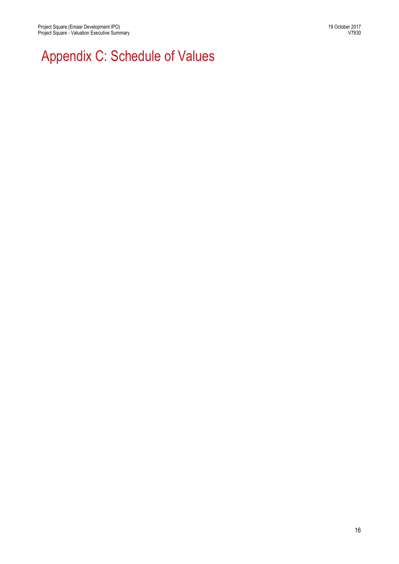# Appendix C: Schedule of Values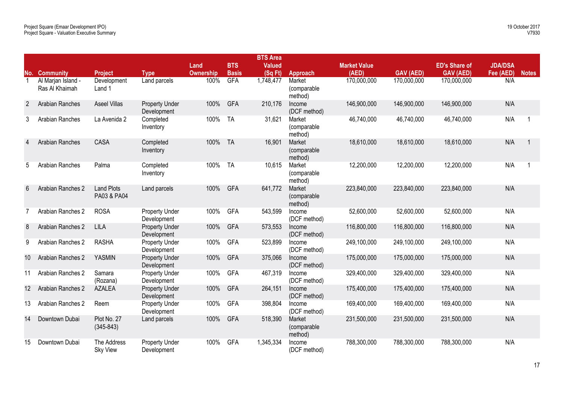|                |                                      |                                  |                                      |                  |              | <b>BTS Area</b> |                                   |                     |                  |                      |                |              |
|----------------|--------------------------------------|----------------------------------|--------------------------------------|------------------|--------------|-----------------|-----------------------------------|---------------------|------------------|----------------------|----------------|--------------|
|                |                                      |                                  |                                      | Land             | <b>BTS</b>   | <b>Valued</b>   |                                   | <b>Market Value</b> |                  | <b>ED's Share of</b> | <b>JDA/DSA</b> |              |
|                | <b>No. Community</b>                 | <b>Project</b>                   | <b>Type</b>                          | <b>Ownership</b> | <b>Basis</b> | (Sq Ft)         | Approach                          | (AED)               | <b>GAV (AED)</b> | <b>GAV (AED)</b>     | Fee (AED)      | <b>Notes</b> |
| $\mathbf{1}$   | Al Marjan Island -<br>Ras Al Khaimah | Development<br>Land 1            | Land parcels                         | 100%             | <b>GFA</b>   | 1,748,477       | Market<br>(comparable)<br>method) | 170,000,000         | 170,000,000      | 170,000,000          | N/A            |              |
| $\overline{2}$ | Arabian Ranches                      | <b>Aseel Villas</b>              | <b>Property Under</b><br>Development | 100%             | <b>GFA</b>   | 210,176         | Income<br>(DCF method)            | 146,900,000         | 146,900,000      | 146,900,000          | N/A            |              |
| 3              | Arabian Ranches                      | La Avenida 2                     | Completed<br>Inventory               | 100%             | <b>TA</b>    | 31,621          | Market<br>(comparable)<br>method) | 46,740,000          | 46,740,000       | 46,740,000           | N/A            | -1           |
| 4              | Arabian Ranches                      | CASA                             | Completed<br>Inventory               | 100%             | <b>TA</b>    | 16,901          | Market<br>(comparable<br>method)  | 18,610,000          | 18,610,000       | 18,610,000           | N/A            |              |
| 5              | Arabian Ranches                      | Palma                            | Completed<br>Inventory               | 100%             | <b>TA</b>    | 10,615          | Market<br>(comparable<br>method)  | 12,200,000          | 12,200,000       | 12,200,000           | N/A            |              |
| 6              | Arabian Ranches 2                    | <b>Land Plots</b><br>PA03 & PA04 | Land parcels                         | 100%             | <b>GFA</b>   | 641,772         | Market<br>(comparable<br>method)  | 223,840,000         | 223,840,000      | 223,840,000          | N/A            |              |
| 7              | Arabian Ranches 2                    | <b>ROSA</b>                      | Property Under<br>Development        | 100%             | <b>GFA</b>   | 543,599         | Income<br>(DCF method)            | 52,600,000          | 52,600,000       | 52,600,000           | N/A            |              |
| 8              | Arabian Ranches 2                    | <b>LILA</b>                      | <b>Property Under</b><br>Development | 100%             | <b>GFA</b>   | 573,553         | Income<br>(DCF method)            | 116,800,000         | 116,800,000      | 116,800,000          | N/A            |              |
| 9              | Arabian Ranches 2                    | <b>RASHA</b>                     | Property Under<br>Development        | 100%             | <b>GFA</b>   | 523,899         | Income<br>(DCF method)            | 249,100,000         | 249,100,000      | 249,100,000          | N/A            |              |
| 10             | Arabian Ranches 2                    | <b>YASMIN</b>                    | <b>Property Under</b><br>Development | 100%             | <b>GFA</b>   | 375,066         | Income<br>(DCF method)            | 175,000,000         | 175,000,000      | 175,000,000          | N/A            |              |
| 11             | Arabian Ranches 2                    | Samara<br>(Rozana)               | <b>Property Under</b><br>Development | 100%             | <b>GFA</b>   | 467,319         | Income<br>(DCF method)            | 329,400,000         | 329,400,000      | 329,400,000          | N/A            |              |
| 12             | Arabian Ranches 2                    | <b>AZALEA</b>                    | <b>Property Under</b><br>Development | 100%             | <b>GFA</b>   | 264,151         | Income<br>(DCF method)            | 175,400,000         | 175,400,000      | 175,400,000          | N/A            |              |
| 13             | Arabian Ranches 2                    | Reem                             | Property Under<br>Development        | 100%             | <b>GFA</b>   | 398,804         | Income<br>(DCF method)            | 169,400,000         | 169,400,000      | 169,400,000          | N/A            |              |
| 14             | Downtown Dubai                       | Plot No. 27<br>$(345 - 843)$     | Land parcels                         | 100%             | <b>GFA</b>   | 518,390         | Market<br>(comparable<br>method)  | 231,500,000         | 231,500,000      | 231,500,000          | N/A            |              |
| 15             | Downtown Dubai                       | The Address<br><b>Sky View</b>   | Property Under<br>Development        | 100%             | <b>GFA</b>   | 1,345,334       | Income<br>(DCF method)            | 788,300,000         | 788,300,000      | 788,300,000          | N/A            |              |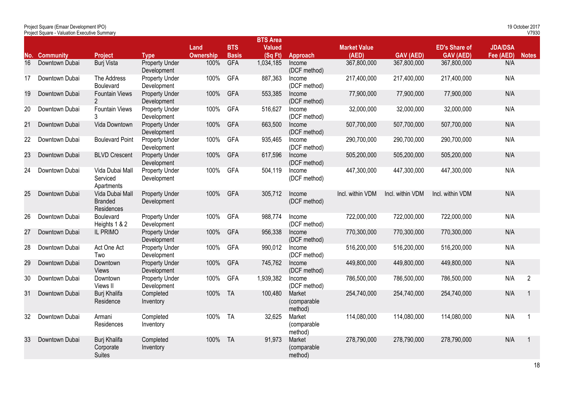|     | Project Square (Emaar Development IPO)<br>Project Square - Valuation Executive Summary |                                                 |                                      |                          |                            |                                            |                                  |                              |                  |                                          |                             | 19 October 2017<br>V7930 |
|-----|----------------------------------------------------------------------------------------|-------------------------------------------------|--------------------------------------|--------------------------|----------------------------|--------------------------------------------|----------------------------------|------------------------------|------------------|------------------------------------------|-----------------------------|--------------------------|
| No. | <b>Community</b>                                                                       | <b>Project</b>                                  | <b>Type</b>                          | Land<br><b>Ownership</b> | <b>BTS</b><br><b>Basis</b> | <b>BTS Area</b><br><b>Valued</b><br>(SqFt) | Approach                         | <b>Market Value</b><br>(AED) | <b>GAV (AED)</b> | <b>ED's Share of</b><br><b>GAV (AED)</b> | <b>JDA/DSA</b><br>Fee (AED) | <b>Notes</b>             |
| 16  | Downtown Dubai                                                                         | <b>Burj Vista</b>                               | <b>Property Under</b><br>Development | 100%                     | <b>GFA</b>                 | 1,034,185                                  | Income<br>(DCF method)           | 367,800,000                  | 367,800,000      | 367,800,000                              | N/A                         |                          |
| 17  | Downtown Dubai                                                                         | The Address<br>Boulevard                        | Property Under<br>Development        | 100%                     | <b>GFA</b>                 | 887,363                                    | Income<br>(DCF method)           | 217,400,000                  | 217,400,000      | 217,400,000                              | N/A                         |                          |
| 19  | Downtown Dubai                                                                         | <b>Fountain Views</b><br>$\overline{2}$         | <b>Property Under</b><br>Development | 100%                     | <b>GFA</b>                 | 553,385                                    | Income<br>(DCF method)           | 77,900,000                   | 77,900,000       | 77,900,000                               | N/A                         |                          |
| 20  | Downtown Dubai                                                                         | <b>Fountain Views</b><br>3                      | <b>Property Under</b><br>Development | 100%                     | <b>GFA</b>                 | 516,627                                    | Income<br>(DCF method)           | 32,000,000                   | 32,000,000       | 32,000,000                               | N/A                         |                          |
| 21  | Downtown Dubai                                                                         | Vida Downtown                                   | <b>Property Under</b><br>Development | 100%                     | <b>GFA</b>                 | 663,500                                    | Income<br>(DCF method)           | 507,700,000                  | 507,700,000      | 507,700,000                              | N/A                         |                          |
| 22  | Downtown Dubai                                                                         | <b>Boulevard Point</b>                          | <b>Property Under</b><br>Development | 100%                     | <b>GFA</b>                 | 935,465                                    | Income<br>(DCF method)           | 290,700,000                  | 290,700,000      | 290,700,000                              | N/A                         |                          |
| 23  | Downtown Dubai                                                                         | <b>BLVD Crescent</b>                            | <b>Property Under</b><br>Development | 100%                     | <b>GFA</b>                 | 617,596                                    | Income<br>(DCF method)           | 505,200,000                  | 505,200,000      | 505,200,000                              | N/A                         |                          |
| 24  | Downtown Dubai                                                                         | Vida Dubai Mall<br>Serviced<br>Apartments       | <b>Property Under</b><br>Development | 100%                     | <b>GFA</b>                 | 504,119                                    | Income<br>(DCF method)           | 447,300,000                  | 447,300,000      | 447,300,000                              | N/A                         |                          |
| 25  | Downtown Dubai                                                                         | Vida Dubai Mall<br><b>Branded</b><br>Residences | <b>Property Under</b><br>Development | 100%                     | <b>GFA</b>                 | 305,712                                    | Income<br>(DCF method)           | Incl. within VDM             | Incl. within VDM | Incl. within VDM                         | N/A                         |                          |
| 26  | Downtown Dubai                                                                         | Boulevard<br>Heights 1 & 2                      | Property Under<br>Development        | 100%                     | <b>GFA</b>                 | 988,774                                    | Income<br>(DCF method)           | 722,000,000                  | 722,000,000      | 722,000,000                              | N/A                         |                          |
| 27  | Downtown Dubai                                                                         | IL PRIMO                                        | <b>Property Under</b><br>Development | 100%                     | <b>GFA</b>                 | 956,338                                    | Income<br>(DCF method)           | 770,300,000                  | 770,300,000      | 770,300,000                              | N/A                         |                          |
| 28  | Downtown Dubai                                                                         | Act One Act<br>Two                              | Property Under<br>Development        | 100%                     | <b>GFA</b>                 | 990,012                                    | Income<br>(DCF method)           | 516,200,000                  | 516,200,000      | 516,200,000                              | N/A                         |                          |
| 29  | Downtown Dubai                                                                         | Downtown<br><b>Views</b>                        | <b>Property Under</b><br>Development | 100%                     | <b>GFA</b>                 | 745,762                                    | Income<br>(DCF method)           | 449,800,000                  | 449,800,000      | 449,800,000                              | N/A                         |                          |
| 30  | Downtown Dubai                                                                         | Downtown<br>Views II                            | <b>Property Under</b><br>Development | 100%                     | <b>GFA</b>                 | 1,939,382                                  | Income<br>(DCF method)           | 786,500,000                  | 786,500,000      | 786,500,000                              | N/A                         | $\overline{2}$           |
| 31  | Downtown Dubai                                                                         | Burj Khalifa<br>Residence                       | Completed<br>Inventory               | 100%                     | <b>TA</b>                  | 100,480                                    | Market<br>(comparable<br>method) | 254,740,000                  | 254,740,000      | 254,740,000                              | N/A                         | $\mathbf{1}$             |
| 32  | Downtown Dubai                                                                         | Armani<br><b>Residences</b>                     | Completed<br>Inventory               | 100%                     | <b>TA</b>                  | 32,625                                     | Market<br>(comparable<br>method) | 114,080,000                  | 114,080,000      | 114,080,000                              | N/A                         | $\overline{1}$           |
| 33  | Downtown Dubai                                                                         | Burj Khalifa<br>Corporate<br><b>Suites</b>      | Completed<br>Inventory               | 100%                     | TA                         | 91,973                                     | Market<br>(comparable<br>method) | 278,790,000                  | 278,790,000      | 278,790,000                              | N/A                         | -1                       |
|     |                                                                                        |                                                 |                                      |                          |                            |                                            |                                  |                              |                  |                                          |                             |                          |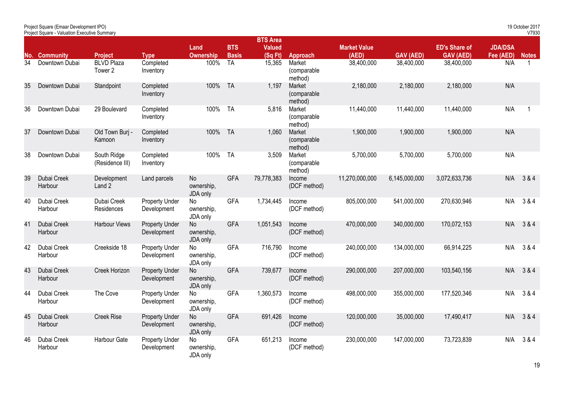|                 | <b>Project Square - Valuation Executive Summary</b> |                                |                                      |                              |                            |                                            |                                  |                              |                  |                                          |                             | V7930        |
|-----------------|-----------------------------------------------------|--------------------------------|--------------------------------------|------------------------------|----------------------------|--------------------------------------------|----------------------------------|------------------------------|------------------|------------------------------------------|-----------------------------|--------------|
|                 | No. Community                                       | <b>Project</b>                 | <b>Type</b>                          | Land<br><b>Ownership</b>     | <b>BTS</b><br><b>Basis</b> | <b>BTS Area</b><br><b>Valued</b><br>(SqFt) | Approach                         | <b>Market Value</b><br>(AED) | <b>GAV (AED)</b> | <b>ED's Share of</b><br><b>GAV (AED)</b> | <b>JDA/DSA</b><br>Fee (AED) | <b>Notes</b> |
| $3\overline{4}$ | Downtown Dubai                                      | <b>BLVD Plaza</b><br>Tower 2   | Completed<br>Inventory               | 100%                         | $T_A$                      | 15,365                                     | Market<br>(comparable<br>method) | 38,400,000                   | 38,400,000       | 38,400,000                               | N/A                         | $\mathbf{1}$ |
| 35              | Downtown Dubai                                      | Standpoint                     | Completed<br>Inventory               | 100%                         | <b>TA</b>                  | 1,197                                      | Market<br>(comparable<br>method) | 2,180,000                    | 2,180,000        | 2,180,000                                | N/A                         |              |
| 36              | Downtown Dubai                                      | 29 Boulevard                   | Completed<br>Inventory               | 100%                         | <b>TA</b>                  | 5,816                                      | Market<br>(comparable<br>method) | 11,440,000                   | 11,440,000       | 11,440,000                               | N/A                         |              |
| 37              | Downtown Dubai                                      | Old Town Burj -<br>Kamoon      | Completed<br>Inventory               | 100%                         | <b>TA</b>                  | 1,060                                      | Market<br>(comparable<br>method) | 1,900,000                    | 1,900,000        | 1,900,000                                | N/A                         |              |
| 38              | Downtown Dubai                                      | South Ridge<br>(Residence III) | Completed<br>Inventory               | 100%                         | <b>TA</b>                  | 3,509                                      | Market<br>(comparable<br>method) | 5,700,000                    | 5,700,000        | 5,700,000                                | N/A                         |              |
| 39              | Dubai Creek<br>Harbour                              | Development<br>Land 2          | Land parcels                         | No<br>ownership,<br>JDA only | <b>GFA</b>                 | 79,778,383                                 | Income<br>(DCF method)           | 11,270,000,000               | 6,145,000,000    | 3,072,633,736                            | N/A                         | 3 & 4        |
| 40              | Dubai Creek<br>Harbour                              | Dubai Creek<br>Residences      | <b>Property Under</b><br>Development | No<br>ownership,<br>JDA only | <b>GFA</b>                 | 1,734,445                                  | Income<br>(DCF method)           | 805,000,000                  | 541,000,000      | 270,630,946                              | N/A                         | 3 & 4        |
| 41              | Dubai Creek<br>Harbour                              | Harbour Views                  | <b>Property Under</b><br>Development | No<br>ownership,<br>JDA only | <b>GFA</b>                 | 1,051,543                                  | Income<br>(DCF method)           | 470,000,000                  | 340,000,000      | 170,072,153                              | N/A                         | 3 & 4        |
| 42              | Dubai Creek<br>Harbour                              | Creekside 18                   | <b>Property Under</b><br>Development | No<br>ownership,<br>JDA only | <b>GFA</b>                 | 716,790                                    | Income<br>(DCF method)           | 240,000,000                  | 134,000,000      | 66,914,225                               | N/A                         | 3 & 4        |
| 43              | Dubai Creek<br>Harbour                              | Creek Horizon                  | <b>Property Under</b><br>Development | No<br>ownership,<br>JDA only | <b>GFA</b>                 | 739,677                                    | Income<br>(DCF method)           | 290,000,000                  | 207,000,000      | 103,540,156                              | N/A                         | 3 & 4        |
| 44              | Dubai Creek<br>Harbour                              | The Cove                       | <b>Property Under</b><br>Development | No<br>ownership,<br>JDA only | <b>GFA</b>                 | 1,360,573                                  | Income<br>(DCF method)           | 498,000,000                  | 355,000,000      | 177,520,346                              | N/A                         | 3 & 4        |
| 45              | Dubai Creek<br>Harbour                              | <b>Creek Rise</b>              | <b>Property Under</b><br>Development | No<br>ownership,<br>JDA only | <b>GFA</b>                 | 691,426                                    | Income<br>(DCF method)           | 120,000,000                  | 35,000,000       | 17,490,417                               | N/A                         | 3 & 4        |
| 46              | Dubai Creek<br>Harbour                              | Harbour Gate                   | <b>Property Under</b><br>Development | No<br>ownership,<br>JDA only | <b>GFA</b>                 | 651,213                                    | Income<br>(DCF method)           | 230,000,000                  | 147,000,000      | 73,723,839                               | N/A                         | 3 & 4        |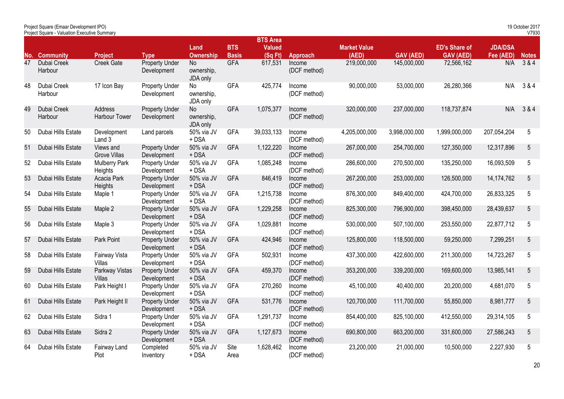|    | Project Square - Valuation Executive Summary |                                  |                                      |                              |                            |                                            |                        |                              |                  |                                          |                             | V7930           |
|----|----------------------------------------------|----------------------------------|--------------------------------------|------------------------------|----------------------------|--------------------------------------------|------------------------|------------------------------|------------------|------------------------------------------|-----------------------------|-----------------|
|    | <b>No. Community</b>                         | <b>Project</b>                   | <b>Type</b>                          | Land<br><b>Ownership</b>     | <b>BTS</b><br><b>Basis</b> | <b>BTS Area</b><br><b>Valued</b><br>(SqFt) | Approach               | <b>Market Value</b><br>(AED) | <b>GAV (AED)</b> | <b>ED's Share of</b><br><b>GAV (AED)</b> | <b>JDA/DSA</b><br>Fee (AED) | <b>Notes</b>    |
| 47 | Dubai Creek<br>Harbour                       | Creek Gate                       | <b>Property Under</b><br>Development | No<br>ownership,<br>JDA only | <b>GFA</b>                 | 617,531                                    | Income<br>(DCF method) | 219,000,000                  | 145,000,000      | 72,566,162                               | N/A                         | 3 & 4           |
| 48 | Dubai Creek<br>Harbour                       | 17 Icon Bay                      | <b>Property Under</b><br>Development | No<br>ownership,<br>JDA only | <b>GFA</b>                 | 425,774                                    | Income<br>(DCF method) | 90,000,000                   | 53,000,000       | 26,280,366                               | N/A                         | 3 & 4           |
| 49 | Dubai Creek<br>Harbour                       | Address<br>Harbour Tower         | <b>Property Under</b><br>Development | No<br>ownership,<br>JDA only | <b>GFA</b>                 | 1,075,377                                  | Income<br>(DCF method) | 320,000,000                  | 237,000,000      | 118,737,874                              | N/A                         | 3 & 4           |
| 50 | Dubai Hills Estate                           | Development<br>Land 3            | Land parcels                         | 50% via JV<br>+ DSA          | <b>GFA</b>                 | 39,033,133                                 | Income<br>(DCF method) | 4,205,000,000                | 3,998,000,000    | 1,999,000,000                            | 207,054,204                 | 5               |
| 51 | Dubai Hills Estate                           | Views and<br><b>Grove Villas</b> | <b>Property Under</b><br>Development | 50% via JV<br>$+$ DSA        | <b>GFA</b>                 | 1,122,220                                  | Income<br>(DCF method) | 267,000,000                  | 254,700,000      | 127,350,000                              | 12,317,896                  | $\sqrt{5}$      |
| 52 | Dubai Hills Estate                           | <b>Mulberry Park</b><br>Heights  | <b>Property Under</b><br>Development | 50% via JV<br>+ DSA          | <b>GFA</b>                 | 1,085,248                                  | Income<br>(DCF method) | 286,600,000                  | 270,500,000      | 135,250,000                              | 16,093,509                  | 5               |
| 53 | Dubai Hills Estate                           | Acacia Park<br>Heights           | <b>Property Under</b><br>Development | 50% via JV<br>$+$ DSA        | <b>GFA</b>                 | 846,419                                    | Income<br>(DCF method) | 267,200,000                  | 253,000,000      | 126,500,000                              | 14,174,762                  | $\overline{5}$  |
| 54 | Dubai Hills Estate                           | Maple 1                          | <b>Property Under</b><br>Development | 50% via JV<br>+ DSA          | <b>GFA</b>                 | 1,215,738                                  | Income<br>(DCF method) | 876,300,000                  | 849,400,000      | 424,700,000                              | 26,833,325                  | 5               |
| 55 | Dubai Hills Estate                           | Maple 2                          | <b>Property Under</b><br>Development | 50% via JV<br>$+$ DSA        | <b>GFA</b>                 | 1,229,258                                  | Income<br>(DCF method) | 825,300,000                  | 796,900,000      | 398,450,000                              | 28,439,637                  | 5               |
| 56 | Dubai Hills Estate                           | Maple 3                          | <b>Property Under</b><br>Development | 50% via JV<br>$+$ DSA        | <b>GFA</b>                 | 1,029,881                                  | Income<br>(DCF method) | 530,000,000                  | 507,100,000      | 253,550,000                              | 22,877,712                  | $5\phantom{.0}$ |
| 57 | Dubai Hills Estate                           | Park Point                       | <b>Property Under</b><br>Development | 50% via JV<br>$+$ DSA        | <b>GFA</b>                 | 424,946                                    | Income<br>(DCF method) | 125,800,000                  | 118,500,000      | 59,250,000                               | 7,299,251                   | $5\,$           |
| 58 | Dubai Hills Estate                           | Fairway Vista<br>Villas          | <b>Property Under</b><br>Development | 50% via JV<br>+ DSA          | <b>GFA</b>                 | 502,931                                    | Income<br>(DCF method) | 437,300,000                  | 422,600,000      | 211,300,000                              | 14,723,267                  | 5               |
| 59 | Dubai Hills Estate                           | Parkway Vistas<br><b>Villas</b>  | <b>Property Under</b><br>Development | 50% via JV<br>+ DSA          | <b>GFA</b>                 | 459,370                                    | Income<br>(DCF method) | 353,200,000                  | 339,200,000      | 169,600,000                              | 13,985,141                  | 5               |
| 60 | Dubai Hills Estate                           | Park Height I                    | <b>Property Under</b><br>Development | 50% via JV<br>+ DSA          | <b>GFA</b>                 | 270,260                                    | Income<br>(DCF method) | 45,100,000                   | 40,400,000       | 20,200,000                               | 4,681,070                   | $5\overline{)}$ |
| 61 | Dubai Hills Estate                           | Park Height II                   | <b>Property Under</b><br>Development | 50% via JV<br>$+$ DSA        | <b>GFA</b>                 | 531,776                                    | Income<br>(DCF method) | 120,700,000                  | 111,700,000      | 55,850,000                               | 8,981,777                   | $5\,$           |
| 62 | Dubai Hills Estate                           | Sidra 1                          | <b>Property Under</b><br>Development | 50% via JV<br>+ DSA          | <b>GFA</b>                 | 1,291,737                                  | Income<br>(DCF method) | 854,400,000                  | 825,100,000      | 412,550,000                              | 29,314,105                  | 5               |
| 63 | Dubai Hills Estate                           | Sidra 2                          | <b>Property Under</b><br>Development | 50% via JV<br>+ DSA          | <b>GFA</b>                 | 1,127,673                                  | Income<br>(DCF method) | 690,800,000                  | 663,200,000      | 331,600,000                              | 27,586,243                  | $5\,$           |
| 64 | Dubai Hills Estate                           | Fairway Land<br>Plot             | Completed<br>Inventory               | 50% via JV<br>+ DSA          | Site<br>Area               | 1,628,462                                  | Income<br>(DCF method) | 23,200,000                   | 21,000,000       | 10,500,000                               | 2,227,930                   | 5               |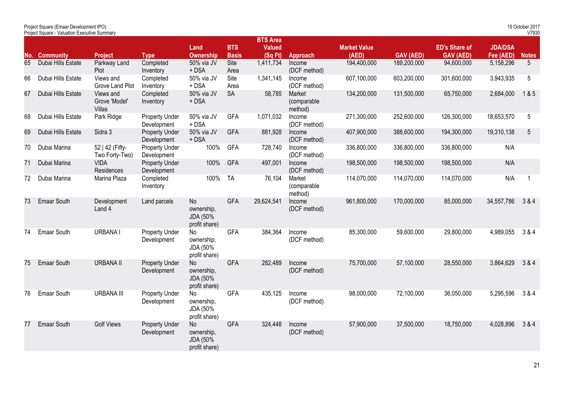|     | Project Square (Emaar Development IPO)<br>Project Square - Valuation Executive Summary |                                             |                                      |                                               |                            |                                            |                                  |                              |                  |                                          |                             | 19 October 2017<br>V7930 |
|-----|----------------------------------------------------------------------------------------|---------------------------------------------|--------------------------------------|-----------------------------------------------|----------------------------|--------------------------------------------|----------------------------------|------------------------------|------------------|------------------------------------------|-----------------------------|--------------------------|
| No. | <b>Community</b>                                                                       | Project                                     | <b>Type</b>                          | Land<br><b>Ownership</b>                      | <b>BTS</b><br><b>Basis</b> | <b>BTS Area</b><br><b>Valued</b><br>(SqFt) | Approach                         | <b>Market Value</b><br>(AED) | <b>GAV (AED)</b> | <b>ED's Share of</b><br><b>GAV (AED)</b> | <b>JDA/DSA</b><br>Fee (AED) | <b>Notes</b>             |
| 65  | Dubai Hills Estate                                                                     | Parkway Land<br>Plot                        | Completed<br>Inventory               | 50% via JV<br>$+$ DSA                         | Site<br>Area               | 1,411,734                                  | Income<br>(DCF method)           | 194,400,000                  | 189,200,000      | 94,600,000                               | 5,158,296                   | $5\overline{)}$          |
| 66  | Dubai Hills Estate                                                                     | Views and<br>Grove Land Plot                | Completed<br>Inventory               | 50% via JV<br>+ DSA                           | Site<br>Area               | 1,341,145                                  | Income<br>(DCF method)           | 607,100,000                  | 603,200,000      | 301,600,000                              | 3,943,935                   | 5                        |
| 67  | Dubai Hills Estate                                                                     | Views and<br>Grove 'Model'<br><b>Villas</b> | Completed<br>Inventory               | 50% via JV<br>$+$ DSA                         | <b>SA</b>                  | 58,785                                     | Market<br>(comparable<br>method) | 134,200,000                  | 131,500,000      | 65,750,000                               | 2,684,000                   | 1&5                      |
| 68  | Dubai Hills Estate                                                                     | Park Ridge                                  | <b>Property Under</b><br>Development | 50% via JV<br>+ DSA                           | <b>GFA</b>                 | 1,071,032                                  | Income<br>(DCF method)           | 271,300,000                  | 252,600,000      | 126,300,000                              | 18,653,570                  | 5                        |
| 69  | Dubai Hills Estate                                                                     | Sidra 3                                     | <b>Property Under</b><br>Development | 50% via JV<br>$+$ DSA                         | <b>GFA</b>                 | 881,928                                    | Income<br>(DCF method)           | 407,900,000                  | 388,600,000      | 194,300,000                              | 19,310,138                  | $\overline{5}$           |
| 70  | Dubai Marina                                                                           | 52   42 (Fifty-<br>Two Forty-Two)           | <b>Property Under</b><br>Development | 100%                                          | <b>GFA</b>                 | 728,740                                    | Income<br>(DCF method)           | 336,800,000                  | 336,800,000      | 336,800,000                              | N/A                         |                          |
| 71  | Dubai Marina                                                                           | <b>VIDA</b><br>Residences                   | <b>Property Under</b><br>Development | 100%                                          | <b>GFA</b>                 | 497,001                                    | Income<br>(DCF method)           | 198,500,000                  | 198,500,000      | 198,500,000                              | N/A                         |                          |
| 72  | Dubai Marina                                                                           | Marina Plaza                                | Completed<br>Inventory               | 100%                                          | <b>TA</b>                  | 76,104                                     | Market<br>(comparable<br>method) | 114,070,000                  | 114,070,000      | 114,070,000                              | N/A                         | $\overline{1}$           |
| 73  | <b>Emaar South</b>                                                                     | Development<br>Land 4                       | Land parcels                         | No<br>ownership,<br>JDA (50%<br>profit share) | <b>GFA</b>                 | 29,624,541                                 | Income<br>(DCF method)           | 961,800,000                  | 170,000,000      | 85,000,000                               | 34,557,786                  | 3 & 4                    |
| 74  | Emaar South                                                                            | <b>URBANAI</b>                              | <b>Property Under</b><br>Development | No<br>ownership,<br>JDA (50%<br>profit share) | <b>GFA</b>                 | 384,364                                    | Income<br>(DCF method)           | 85,300,000                   | 59,600,000       | 29,800,000                               | 4,989,055                   | 3 & 4                    |
| 75  | <b>Emaar South</b>                                                                     | <b>URBANA II</b>                            | <b>Property Under</b><br>Development | No<br>ownership,<br>JDA (50%<br>profit share) | <b>GFA</b>                 | 282,489                                    | Income<br>(DCF method)           | 75,700,000                   | 57,100,000       | 28,550,000                               | 3,864,629                   | 3 & 4                    |
| 76  | <b>Emaar South</b>                                                                     | <b>URBANA III</b>                           | <b>Property Under</b><br>Development | No<br>ownership,<br>JDA (50%<br>profit share) | <b>GFA</b>                 | 435,125                                    | Income<br>(DCF method)           | 98,000,000                   | 72,100,000       | 36,050,000                               | 5,295,596                   | 3 & 4                    |
| 77  | <b>Emaar South</b>                                                                     | <b>Golf Views</b>                           | <b>Property Under</b><br>Development | No<br>ownership,<br>JDA (50%<br>profit share) | <b>GFA</b>                 | 324,448                                    | Income<br>(DCF method)           | 57,900,000                   | 37,500,000       | 18,750,000                               | 4,028,896                   | 3 & 4                    |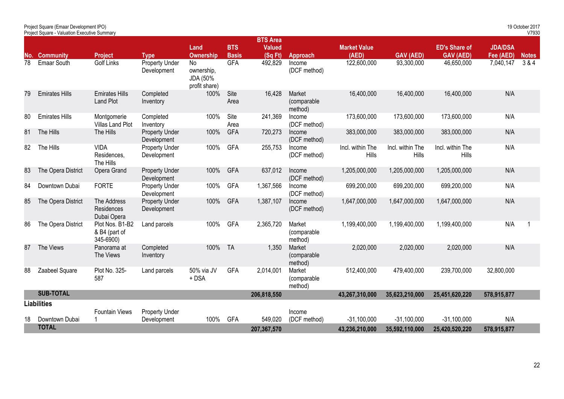|    | Project Square - Valuation Executive Summary |                                               |                                      |                                               |                            |                                             |                                  |                                  |                           |                                          |                             | V7930            |
|----|----------------------------------------------|-----------------------------------------------|--------------------------------------|-----------------------------------------------|----------------------------|---------------------------------------------|----------------------------------|----------------------------------|---------------------------|------------------------------------------|-----------------------------|------------------|
|    | No. Community                                | <b>Project</b>                                | <b>Type</b>                          | Land<br><b>Ownership</b>                      | <b>BTS</b><br><b>Basis</b> | <b>BTS Area</b><br><b>Valued</b><br>(Sq Ft) | Approach                         | <b>Market Value</b><br>(AED)     | <b>GAV (AED)</b>          | <b>ED's Share of</b><br><b>GAV (AED)</b> | <b>JDA/DSA</b><br>Fee (AED) | <b>Notes</b>     |
| 78 | Emaar South                                  | <b>Golf Links</b>                             | <b>Property Under</b><br>Development | No<br>ownership,<br>JDA (50%<br>profit share) | <b>GFA</b>                 | 492,829                                     | Income<br>(DCF method)           | 122,600,000                      | 93,300,000                | 46,650,000                               | 7,040,147                   | $\overline{384}$ |
| 79 | <b>Emirates Hills</b>                        | <b>Emirates Hills</b><br><b>Land Plot</b>     | Completed<br>Inventory               | 100%                                          | Site<br>Area               | 16,428                                      | Market<br>(comparable<br>method) | 16,400,000                       | 16,400,000                | 16,400,000                               | N/A                         |                  |
| 80 | <b>Emirates Hills</b>                        | Montgomerie<br>Villas Land Plot               | Completed<br>Inventory               | 100%                                          | Site<br>Area               | 241,369                                     | Income<br>(DCF method)           | 173,600,000                      | 173,600,000               | 173,600,000                              | N/A                         |                  |
| 81 | The Hills                                    | The Hills                                     | <b>Property Under</b><br>Development | 100%                                          | <b>GFA</b>                 | 720,273                                     | Income<br>(DCF method)           | 383,000,000                      | 383,000,000               | 383,000,000                              | N/A                         |                  |
| 82 | The Hills                                    | <b>VIDA</b><br>Residences.<br>The Hills       | <b>Property Under</b><br>Development | 100%                                          | <b>GFA</b>                 | 255,753                                     | Income<br>(DCF method)           | Incl. within The<br><b>Hills</b> | Incl. within The<br>Hills | Incl. within The<br>Hills                | N/A                         |                  |
| 83 | The Opera District                           | Opera Grand                                   | <b>Property Under</b><br>Development | 100%                                          | <b>GFA</b>                 | 637,012                                     | Income<br>(DCF method)           | 1,205,000,000                    | 1,205,000,000             | 1,205,000,000                            | N/A                         |                  |
| 84 | Downtown Dubai                               | <b>FORTE</b>                                  | <b>Property Under</b><br>Development | 100%                                          | GFA                        | 1,367,566                                   | Income<br>(DCF method)           | 699,200,000                      | 699,200,000               | 699,200,000                              | N/A                         |                  |
| 85 | The Opera District                           | The Address<br>Residences<br>Dubai Opera      | <b>Property Under</b><br>Development | 100%                                          | GFA                        | 1,387,107                                   | Income<br>(DCF method)           | 1,647,000,000                    | 1,647,000,000             | 1,647,000,000                            | N/A                         |                  |
| 86 | The Opera District                           | Plot Nos. B1-B2<br>& B4 (part of<br>345-6900) | Land parcels                         | 100%                                          | <b>GFA</b>                 | 2,365,720                                   | Market<br>(comparable<br>method) | 1,199,400,000                    | 1,199,400,000             | 1,199,400,000                            | N/A                         | $\mathbf 1$      |
| 87 | The Views                                    | Panorama at<br>The Views                      | Completed<br>Inventory               | 100%                                          | <b>TA</b>                  | 1,350                                       | Market<br>(comparable<br>method) | 2,020,000                        | 2,020,000                 | 2,020,000                                | N/A                         |                  |
| 88 | Zaabeel Square                               | Plot No. 325-<br>587                          | Land parcels                         | 50% via JV<br>+ DSA                           | <b>GFA</b>                 | 2,014,001                                   | Market<br>(comparable<br>method) | 512,400,000                      | 479,400,000               | 239,700,000                              | 32,800,000                  |                  |
|    | <b>SUB-TOTAL</b>                             |                                               |                                      |                                               |                            | 206,818,550                                 |                                  | 43,267,310,000                   | 35,623,210,000            | 25,451,620,220                           | 578,915,877                 |                  |
|    | <b>Liabilities</b>                           |                                               |                                      |                                               |                            |                                             |                                  |                                  |                           |                                          |                             |                  |
| 18 | Downtown Dubai                               | <b>Fountain Views</b>                         | Property Under<br>Development        | 100%                                          | <b>GFA</b>                 | 549,020                                     | Income<br>(DCF method)           | $-31,100,000$                    | $-31,100,000$             | $-31,100,000$                            | N/A                         |                  |
|    | <b>TOTAL</b>                                 |                                               |                                      |                                               |                            | 207,367,570                                 |                                  | 43,236,210,000                   | 35,592,110,000            | 25,420,520,220                           | 578,915,877                 |                  |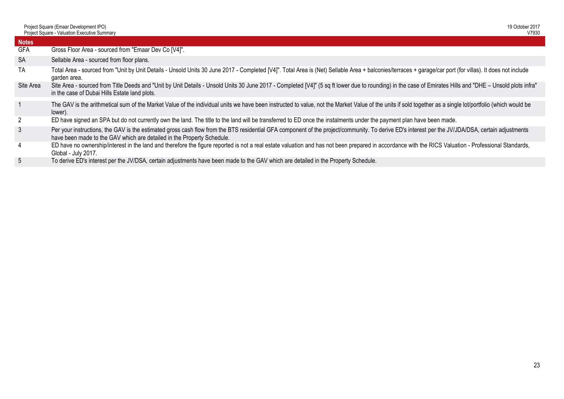| <b>Notes</b><br><b>GFA</b><br>Gross Floor Area - sourced from "Emaar Dev Co [V4]".<br><b>SA</b><br>Sellable Area - sourced from floor plans.<br><b>TA</b><br>Total Area - sourced from "Unit by Unit Details - Unsold Units 30 June 2017 - Completed [V4]". Total Area is (Net) Sellable Area + balconies/terraces + garage/car port (for villas). It does not include<br>garden area.<br>Site Area<br>Site Area - sourced from Title Deeds and "Unit by Unit Details - Unsold Units 30 June 2017 - Completed [V4]" (5 sq ft lower due to rounding) in the case of Emirates Hills and "DHE - Unsold plots infra"<br>in the case of Dubai Hills Estate land plots.<br>The GAV is the arithmetical sum of the Market Value of the individual units we have been instructed to value, not the Market Value of the units if sold together as a single lot/portfolio (which would be<br>lower).<br>$2^{\circ}$<br>ED have signed an SPA but do not currently own the land. The title to the land will be transferred to ED once the instalments under the payment plan have been made. | 19 October 2017<br>V7930 |
|-----------------------------------------------------------------------------------------------------------------------------------------------------------------------------------------------------------------------------------------------------------------------------------------------------------------------------------------------------------------------------------------------------------------------------------------------------------------------------------------------------------------------------------------------------------------------------------------------------------------------------------------------------------------------------------------------------------------------------------------------------------------------------------------------------------------------------------------------------------------------------------------------------------------------------------------------------------------------------------------------------------------------------------------------------------------------------------|--------------------------|
|                                                                                                                                                                                                                                                                                                                                                                                                                                                                                                                                                                                                                                                                                                                                                                                                                                                                                                                                                                                                                                                                                   |                          |
|                                                                                                                                                                                                                                                                                                                                                                                                                                                                                                                                                                                                                                                                                                                                                                                                                                                                                                                                                                                                                                                                                   |                          |
|                                                                                                                                                                                                                                                                                                                                                                                                                                                                                                                                                                                                                                                                                                                                                                                                                                                                                                                                                                                                                                                                                   |                          |
|                                                                                                                                                                                                                                                                                                                                                                                                                                                                                                                                                                                                                                                                                                                                                                                                                                                                                                                                                                                                                                                                                   |                          |
|                                                                                                                                                                                                                                                                                                                                                                                                                                                                                                                                                                                                                                                                                                                                                                                                                                                                                                                                                                                                                                                                                   |                          |
|                                                                                                                                                                                                                                                                                                                                                                                                                                                                                                                                                                                                                                                                                                                                                                                                                                                                                                                                                                                                                                                                                   |                          |
|                                                                                                                                                                                                                                                                                                                                                                                                                                                                                                                                                                                                                                                                                                                                                                                                                                                                                                                                                                                                                                                                                   |                          |
| 3<br>Per your instructions, the GAV is the estimated gross cash flow from the BTS residential GFA component of the project/community. To derive ED's interest per the JV/JDA/DSA, certain adjustments<br>have been made to the GAV which are detailed in the Property Schedule.                                                                                                                                                                                                                                                                                                                                                                                                                                                                                                                                                                                                                                                                                                                                                                                                   |                          |
| $\overline{4}$<br>ED have no ownership/interest in the land and therefore the figure reported is not a real estate valuation and has not been prepared in accordance with the RICS Valuation - Professional Standards,<br>Global - July 2017.                                                                                                                                                                                                                                                                                                                                                                                                                                                                                                                                                                                                                                                                                                                                                                                                                                     |                          |
| 5 <sub>5</sub><br>To derive ED's interest per the JV/DSA, certain adjustments have been made to the GAV which are detailed in the Property Schedule.                                                                                                                                                                                                                                                                                                                                                                                                                                                                                                                                                                                                                                                                                                                                                                                                                                                                                                                              |                          |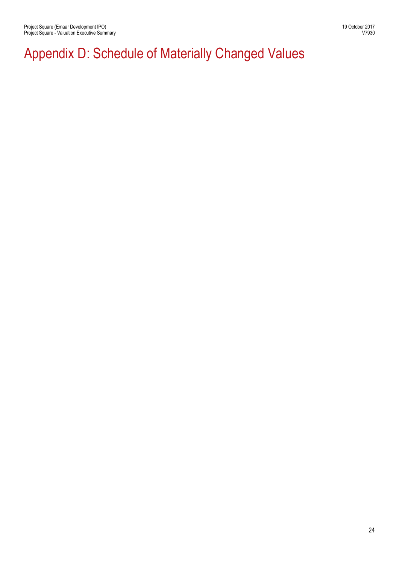## Appendix D: Schedule of Materially Changed Values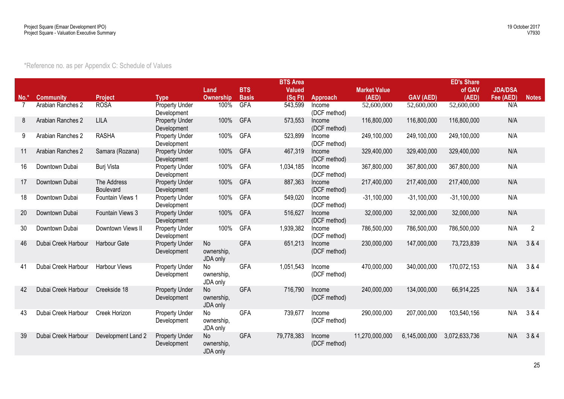| *Reference no. as per Appendix C: Schedule of Values |  |  |
|------------------------------------------------------|--|--|
|------------------------------------------------------|--|--|

|        |                     |                          |                                      |                              |              | <b>BTS Area</b> |                        |                     |                  | <b>ED's Share</b> |                |              |
|--------|---------------------|--------------------------|--------------------------------------|------------------------------|--------------|-----------------|------------------------|---------------------|------------------|-------------------|----------------|--------------|
|        |                     |                          |                                      | Land                         | <b>BTS</b>   | <b>Valued</b>   |                        | <b>Market Value</b> |                  | of GAV            | <b>JDA/DSA</b> |              |
| $No.*$ | <b>Community</b>    | <b>Project</b>           | <b>Type</b>                          | <b>Ownership</b>             | <b>Basis</b> | (SqFt)          | Approach               | (AED)               | <b>GAV (AED)</b> | (AED)             | Fee (AED)      | <b>Notes</b> |
|        | Arabian Ranches 2   | <b>ROSA</b>              | <b>Property Under</b><br>Development | 100%                         | <b>GFA</b>   | 543,599         | Income<br>(DCF method) | 52,600,000          | 52,600,000       | 52,600,000        | N/A            |              |
| 8      | Arabian Ranches 2   | <b>LILA</b>              | <b>Property Under</b><br>Development | 100%                         | GFA          | 573,553         | Income<br>(DCF method) | 116,800,000         | 116,800,000      | 116,800,000       | N/A            |              |
| 9      | Arabian Ranches 2   | <b>RASHA</b>             | Property Under<br>Development        | 100%                         | GFA          | 523,899         | Income<br>(DCF method) | 249,100,000         | 249,100,000      | 249,100,000       | N/A            |              |
| 11     | Arabian Ranches 2   | Samara (Rozana)          | <b>Property Under</b><br>Development | 100%                         | <b>GFA</b>   | 467,319         | Income<br>(DCF method) | 329,400,000         | 329,400,000      | 329,400,000       | N/A            |              |
| 16     | Downtown Dubai      | Burj Vista               | <b>Property Under</b><br>Development | 100%                         | <b>GFA</b>   | 1,034,185       | Income<br>(DCF method) | 367,800,000         | 367,800,000      | 367,800,000       | N/A            |              |
| 17     | Downtown Dubai      | The Address<br>Boulevard | <b>Property Under</b><br>Development | 100%                         | GFA          | 887,363         | Income<br>(DCF method) | 217,400,000         | 217,400,000      | 217,400,000       | N/A            |              |
| 18     | Downtown Dubai      | Fountain Views 1         | <b>Property Under</b><br>Development | 100%                         | GFA          | 549,020         | Income<br>(DCF method) | $-31,100,000$       | $-31,100,000$    | $-31,100,000$     | N/A            |              |
| 20     | Downtown Dubai      | Fountain Views 3         | <b>Property Under</b><br>Development | 100%                         | GFA          | 516,627         | Income<br>(DCF method) | 32,000,000          | 32,000,000       | 32,000,000        | N/A            |              |
| 30     | Downtown Dubai      | Downtown Views II        | Property Under<br>Development        | 100%                         | <b>GFA</b>   | 1,939,382       | Income<br>(DCF method) | 786,500,000         | 786,500,000      | 786,500,000       | N/A            | 2            |
| 46     | Dubai Creek Harbour | Harbour Gate             | <b>Property Under</b><br>Development | No<br>ownership,<br>JDA only | <b>GFA</b>   | 651,213         | Income<br>(DCF method) | 230,000,000         | 147,000,000      | 73,723,839        | N/A            | 3 & 4        |
| 41     | Dubai Creek Harbour | <b>Harbour Views</b>     | <b>Property Under</b><br>Development | No<br>ownership,<br>JDA only | <b>GFA</b>   | 1,051,543       | Income<br>(DCF method) | 470,000,000         | 340,000,000      | 170,072,153       | N/A            | 3 & 4        |
| 42     | Dubai Creek Harbour | Creekside 18             | <b>Property Under</b><br>Development | No<br>ownership,<br>JDA only | <b>GFA</b>   | 716,790         | Income<br>(DCF method) | 240,000,000         | 134,000,000      | 66,914,225        | N/A            | 3 & 4        |
| 43     | Dubai Creek Harbour | Creek Horizon            | <b>Property Under</b><br>Development | No<br>ownership,<br>JDA only | <b>GFA</b>   | 739,677         | Income<br>(DCF method) | 290,000,000         | 207,000,000      | 103,540,156       | N/A            | 3 & 4        |
| 39     | Dubai Creek Harbour | Development Land 2       | <b>Property Under</b><br>Development | No<br>ownership,<br>JDA only | GFA          | 79,778,383      | Income<br>(DCF method) | 11,270,000,000      | 6,145,000,000    | 3,072,633,736     | N/A            | 3 & 4        |
|        |                     |                          |                                      |                              |              |                 |                        |                     |                  |                   |                |              |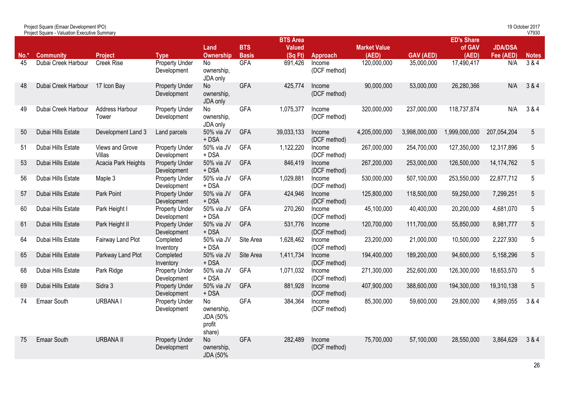|        | <b>Project Square - Valuation Executive Summary</b> |                           |                                      |                                                  |                            |                                            |                        |                              |                  |                                      |                             | V7930        |
|--------|-----------------------------------------------------|---------------------------|--------------------------------------|--------------------------------------------------|----------------------------|--------------------------------------------|------------------------|------------------------------|------------------|--------------------------------------|-----------------------------|--------------|
| $No.*$ | <b>Community</b>                                    | <b>Project</b>            | <b>Type</b>                          | Land<br><b>Ownership</b>                         | <b>BTS</b><br><b>Basis</b> | <b>BTS Area</b><br><b>Valued</b><br>(SqFt) | Approach               | <b>Market Value</b><br>(AED) | <b>GAV (AED)</b> | <b>ED's Share</b><br>of GAV<br>(AED) | <b>JDA/DSA</b><br>Fee (AED) | <b>Notes</b> |
| 45     | Dubai Creek Harbour                                 | <b>Creek Rise</b>         | <b>Property Under</b><br>Development | No<br>ownership,<br>JDA only                     | <b>GFA</b>                 | 691,426                                    | Income<br>(DCF method) | 120,000,000                  | 35,000,000       | 17,490,417                           | N/A                         | 384          |
| 48     | Dubai Creek Harbour                                 | 17 Icon Bay               | <b>Property Under</b><br>Development | No<br>ownership,<br>JDA only                     | <b>GFA</b>                 | 425,774                                    | Income<br>(DCF method) | 90,000,000                   | 53,000,000       | 26,280,366                           | N/A                         | 3 & 4        |
| 49     | Dubai Creek Harbour                                 | Address Harbour<br>Tower  | <b>Property Under</b><br>Development | No<br>ownership.<br>JDA only                     | <b>GFA</b>                 | 1,075,377                                  | Income<br>(DCF method) | 320,000,000                  | 237,000,000      | 118,737,874                          | N/A                         | 3 & 4        |
| 50     | Dubai Hills Estate                                  | Development Land 3        | Land parcels                         | 50% via JV<br>$+$ DSA                            | <b>GFA</b>                 | 39,033,133                                 | Income<br>(DCF method) | 4,205,000,000                | 3,998,000,000    | 1,999,000,000                        | 207,054,204                 | 5            |
| 51     | Dubai Hills Estate                                  | Views and Grove<br>Villas | <b>Property Under</b><br>Development | 50% via JV<br>+ DSA                              | <b>GFA</b>                 | 1,122,220                                  | Income<br>(DCF method) | 267,000,000                  | 254,700,000      | 127,350,000                          | 12,317,896                  | 5            |
| 53     | Dubai Hills Estate                                  | Acacia Park Heights       | <b>Property Under</b><br>Development | 50% via JV<br>$+$ DSA                            | <b>GFA</b>                 | 846,419                                    | Income<br>(DCF method) | 267,200,000                  | 253,000,000      | 126,500,000                          | 14, 174, 762                | 5            |
| 56     | Dubai Hills Estate                                  | Maple 3                   | <b>Property Under</b><br>Development | 50% via JV<br>$+$ DSA                            | <b>GFA</b>                 | 1,029,881                                  | Income<br>(DCF method) | 530,000,000                  | 507,100,000      | 253,550,000                          | 22,877,712                  | 5            |
| 57     | Dubai Hills Estate                                  | Park Point                | <b>Property Under</b><br>Development | 50% via JV<br>$+$ DSA                            | <b>GFA</b>                 | 424,946                                    | Income<br>(DCF method) | 125,800,000                  | 118,500,000      | 59,250,000                           | 7,299,251                   | 5            |
| 60     | Dubai Hills Estate                                  | Park Height I             | <b>Property Under</b><br>Development | 50% via JV<br>+ DSA                              | <b>GFA</b>                 | 270,260                                    | Income<br>(DCF method) | 45,100,000                   | 40,400,000       | 20,200,000                           | 4,681,070                   | 5            |
| 61     | Dubai Hills Estate                                  | Park Height II            | <b>Property Under</b><br>Development | 50% via JV<br>$+$ DSA                            | <b>GFA</b>                 | 531,776                                    | Income<br>(DCF method) | 120,700,000                  | 111,700,000      | 55,850,000                           | 8,981,777                   | 5            |
| 64     | Dubai Hills Estate                                  | Fairway Land Plot         | Completed<br>Inventory               | 50% via JV<br>+ DSA                              | Site Area                  | 1,628,462                                  | Income<br>(DCF method) | 23,200,000                   | 21,000,000       | 10,500,000                           | 2,227,930                   | 5            |
| 65     | Dubai Hills Estate                                  | Parkway Land Plot         | Completed<br>Inventory               | 50% via JV<br>$+$ DSA                            | Site Area                  | 1,411,734                                  | Income<br>(DCF method) | 194,400,000                  | 189,200,000      | 94,600,000                           | 5,158,296                   | 5            |
| 68     | Dubai Hills Estate                                  | Park Ridge                | <b>Property Under</b><br>Development | 50% via JV<br>+ DSA                              | <b>GFA</b>                 | 1,071,032                                  | Income<br>(DCF method) | 271,300,000                  | 252,600,000      | 126,300,000                          | 18,653,570                  | 5            |
| 69     | Dubai Hills Estate                                  | Sidra 3                   | <b>Property Under</b><br>Development | 50% via JV<br>$+$ DSA                            | <b>GFA</b>                 | 881,928                                    | Income<br>(DCF method) | 407,900,000                  | 388,600,000      | 194,300,000                          | 19,310,138                  | 5            |
| 74     | Emaar South                                         | <b>URBANAI</b>            | <b>Property Under</b><br>Development | No<br>ownership.<br>JDA (50%<br>profit<br>share) | <b>GFA</b>                 | 384,364                                    | Income<br>(DCF method) | 85,300,000                   | 59,600,000       | 29,800,000                           | 4,989,055                   | 3 & 4        |
| 75     | <b>Emaar South</b>                                  | <b>URBANA II</b>          | <b>Property Under</b><br>Development | <b>No</b><br>ownership,<br>JDA (50%              | <b>GFA</b>                 | 282,489                                    | Income<br>(DCF method) | 75,700,000                   | 57,100,000       | 28,550,000                           | 3,864,629                   | 3 & 4        |